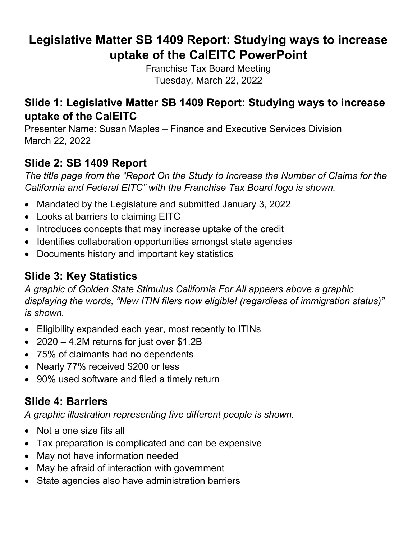# **Legislative Matter SB 1409 Report: Studying ways to increase uptake of the CalEITC PowerPoint**

Franchise Tax Board Meeting Tuesday, March 22, 2022

#### **Slide 1: Legislative Matter SB 1409 Report: Studying ways to increase uptake of the CalEITC**

Presenter Name: Susan Maples – Finance and Executive Services Division March 22, 2022

### **Slide 2: SB 1409 Report**

*The title page from the "Report On the Study to Increase the Number of Claims for the California and Federal EITC" with the Franchise Tax Board logo is shown.*

- Mandated by the Legislature and submitted January 3, 2022
- Looks at barriers to claiming EITC
- Introduces concepts that may increase uptake of the credit
- Identifies collaboration opportunities amongst state agencies
- Documents history and important key statistics

### **Slide 3: Key Statistics**

*A graphic of Golden State Stimulus California For All appears above a graphic displaying the words, "New ITIN filers now eligible! (regardless of immigration status)" is shown.*

- Eligibility expanded each year, most recently to ITINs
- 2020 4.2M returns for just over \$1.2B
- 75% of claimants had no dependents
- Nearly 77% received \$200 or less
- 90% used software and filed a timely return

### **Slide 4: Barriers**

*A graphic illustration representing five different people is shown.*

- Not a one size fits all
- Tax preparation is complicated and can be expensive
- May not have information needed
- May be afraid of interaction with government
- State agencies also have administration barriers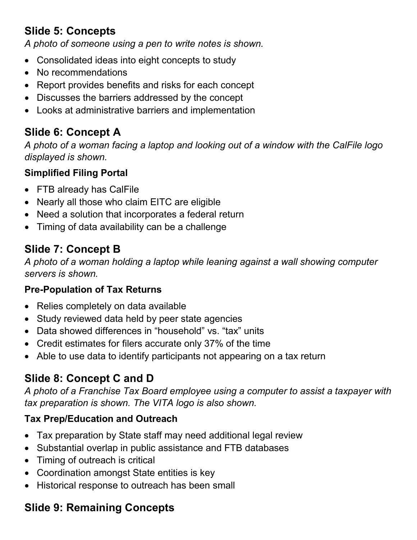## **Slide 5: Concepts**

*A photo of someone using a pen to write notes is shown.*

- Consolidated ideas into eight concepts to study
- No recommendations
- Report provides benefits and risks for each concept
- Discusses the barriers addressed by the concept
- Looks at administrative barriers and implementation

## **Slide 6: Concept A**

*A photo of a woman facing a laptop and looking out of a window with the CalFile logo displayed is shown.*

#### **Simplified Filing Portal**

- FTB already has CalFile
- Nearly all those who claim EITC are eligible
- Need a solution that incorporates a federal return
- Timing of data availability can be a challenge

# **Slide 7: Concept B**

*A photo of a woman holding a laptop while leaning against a wall showing computer servers is shown.*

#### **Pre-Population of Tax Returns**

- Relies completely on data available
- Study reviewed data held by peer state agencies
- Data showed differences in "household" vs. "tax" units
- Credit estimates for filers accurate only 37% of the time
- Able to use data to identify participants not appearing on a tax return

## **Slide 8: Concept C and D**

*A photo of a Franchise Tax Board employee using a computer to assist a taxpayer with tax preparation is shown. The VITA logo is also shown.*

### **Tax Prep/Education and Outreach**

- Tax preparation by State staff may need additional legal review
- Substantial overlap in public assistance and FTB databases
- Timing of outreach is critical
- Coordination amongst State entities is key
- Historical response to outreach has been small

# **Slide 9: Remaining Concepts**